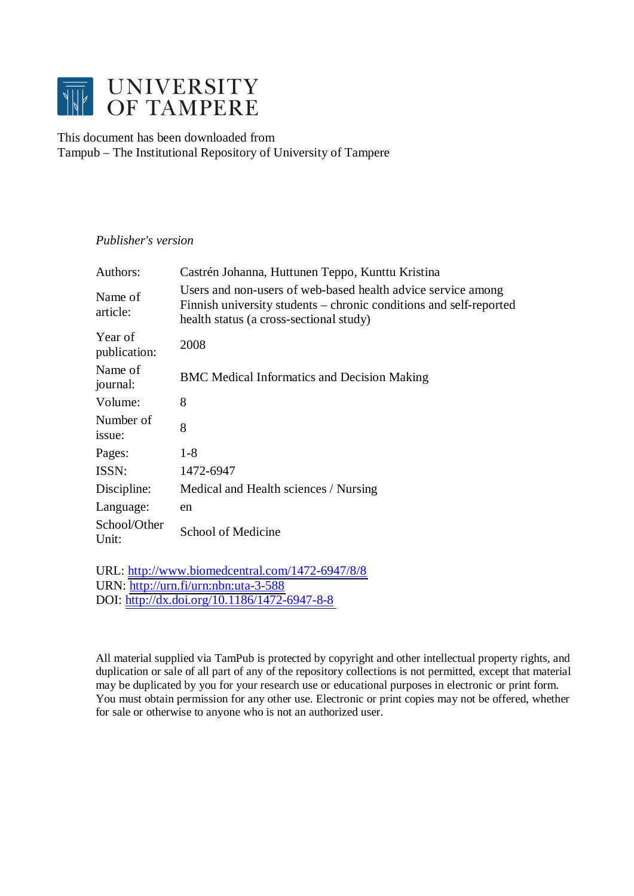

# This document has been downloaded from Tampub – The Institutional Repository of University of Tampere

# *Publisher's version*

| Authors:                | Castrén Johanna, Huttunen Teppo, Kunttu Kristina                                                                                                                              |
|-------------------------|-------------------------------------------------------------------------------------------------------------------------------------------------------------------------------|
| Name of<br>article:     | Users and non-users of web-based health advice service among<br>Finnish university students – chronic conditions and self-reported<br>health status (a cross-sectional study) |
| Year of<br>publication: | 2008                                                                                                                                                                          |
| Name of<br>journal:     | <b>BMC</b> Medical Informatics and Decision Making                                                                                                                            |
| Volume:                 | 8                                                                                                                                                                             |
| Number of<br>issue:     | 8                                                                                                                                                                             |
| Pages:                  | $1-8$                                                                                                                                                                         |
| ISSN:                   | 1472-6947                                                                                                                                                                     |
| Discipline:             | Medical and Health sciences / Nursing                                                                                                                                         |
| Language:               | en                                                                                                                                                                            |
| School/Other<br>Unit:   | School of Medicine                                                                                                                                                            |
|                         |                                                                                                                                                                               |

URL: <http://www.biomedcentral.com/1472-6947/8/8> URN:  $\frac{1}{\frac{http://urn.fi/urn.nbn:uta-3-588}$ DOI: <http://dx.doi.org/10.1186/1472-6947-8-8>

All material supplied via TamPub is protected by copyright and other intellectual property rights, and duplication or sale of all part of any of the repository collections is not permitted, except that material may be duplicated by you for your research use or educational purposes in electronic or print form. You must obtain permission for any other use. Electronic or print copies may not be offered, whether for sale or otherwise to anyone who is not an authorized user.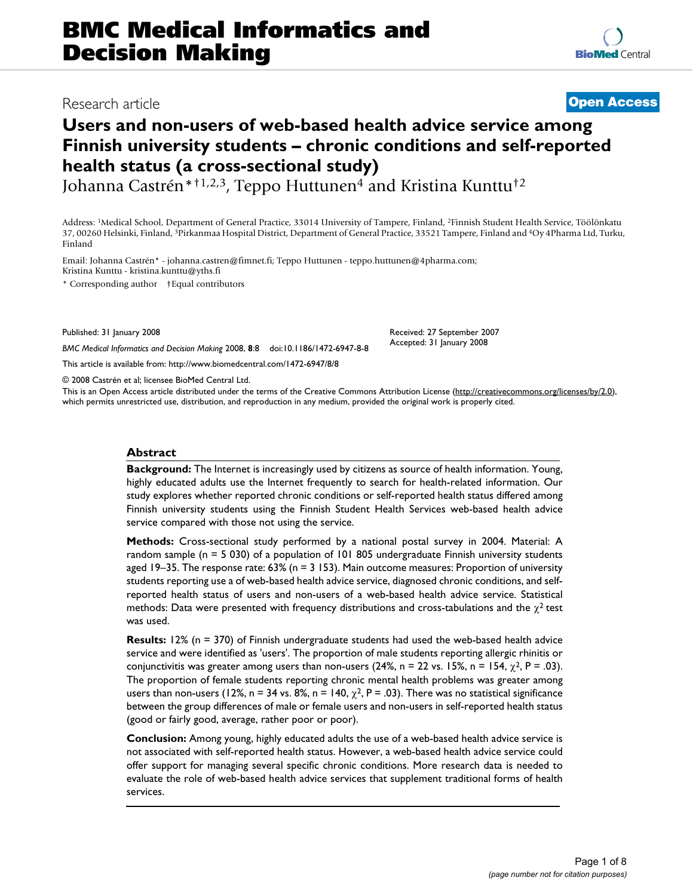# **Users and non-users of web-based health advice service among Finnish university students – chronic conditions and self-reported health status (a cross-sectional study)**

Johanna Castrén\*†1,2,3, Teppo Huttunen4 and Kristina Kunttu†2

Address: 1Medical School, Department of General Practice, 33014 University of Tampere, Finland, 2Finnish Student Health Service, Töölönkatu 37, 00260 Helsinki, Finland, 3Pirkanmaa Hospital District, Department of General Practice, 33521 Tampere, Finland and 4Oy 4Pharma Ltd, Turku, Finland

Email: Johanna Castrén\* - johanna.castren@fimnet.fi; Teppo Huttunen - teppo.huttunen@4pharma.com; Kristina Kunttu - kristina.kunttu@yths.fi

\* Corresponding author †Equal contributors

Published: 31 January 2008

*BMC Medical Informatics and Decision Making* 2008, **8**:8 doi:10.1186/1472-6947-8-8

[This article is available from: http://www.biomedcentral.com/1472-6947/8/8](http://www.biomedcentral.com/1472-6947/8/8)

© 2008 Castrén et al; licensee BioMed Central Ltd.

This is an Open Access article distributed under the terms of the Creative Commons Attribution License [\(http://creativecommons.org/licenses/by/2.0\)](http://creativecommons.org/licenses/by/2.0), which permits unrestricted use, distribution, and reproduction in any medium, provided the original work is properly cited.

#### **Abstract**

**Background:** The Internet is increasingly used by citizens as source of health information. Young, highly educated adults use the Internet frequently to search for health-related information. Our study explores whether reported chronic conditions or self-reported health status differed among Finnish university students using the Finnish Student Health Services web-based health advice service compared with those not using the service.

**Methods:** Cross-sectional study performed by a national postal survey in 2004. Material: A random sample (n = 5 030) of a population of 101 805 undergraduate Finnish university students aged  $19-35$ . The response rate:  $63\%$  (n = 3 153). Main outcome measures: Proportion of university students reporting use a of web-based health advice service, diagnosed chronic conditions, and selfreported health status of users and non-users of a web-based health advice service. Statistical methods: Data were presented with frequency distributions and cross-tabulations and the  $\chi^2$  test was used.

**Results:** 12% (n = 370) of Finnish undergraduate students had used the web-based health advice service and were identified as 'users'. The proportion of male students reporting allergic rhinitis or conjunctivitis was greater among users than non-users (24%, n = 22 vs. 15%, n = 154,  $\chi^2$ , P = .03). The proportion of female students reporting chronic mental health problems was greater among users than non-users (12%, n = 34 vs. 8%, n = 140,  $\chi^2$ , P = .03). There was no statistical significance between the group differences of male or female users and non-users in self-reported health status (good or fairly good, average, rather poor or poor).

**Conclusion:** Among young, highly educated adults the use of a web-based health advice service is not associated with self-reported health status. However, a web-based health advice service could offer support for managing several specific chronic conditions. More research data is needed to evaluate the role of web-based health advice services that supplement traditional forms of health services.

# Research article **[Open Access](http://www.biomedcentral.com/info/about/charter/)**

Received: 27 September 2007 Accepted: 31 January 2008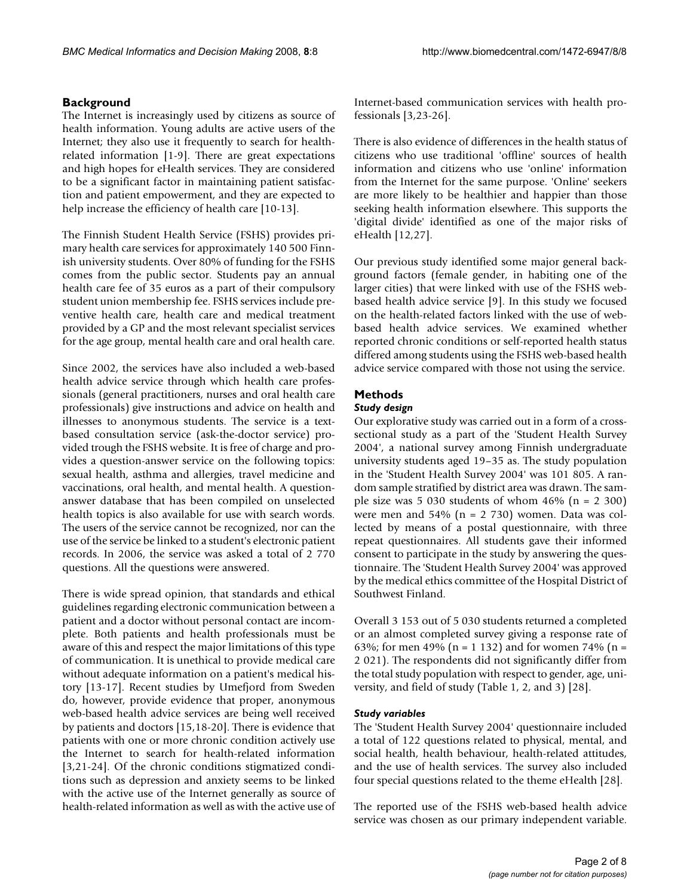#### **Background**

The Internet is increasingly used by citizens as source of health information. Young adults are active users of the Internet; they also use it frequently to search for healthrelated information [1-9]. There are great expectations and high hopes for eHealth services. They are considered to be a significant factor in maintaining patient satisfaction and patient empowerment, and they are expected to help increase the efficiency of health care [10-13].

The Finnish Student Health Service (FSHS) provides primary health care services for approximately 140 500 Finnish university students. Over 80% of funding for the FSHS comes from the public sector. Students pay an annual health care fee of 35 euros as a part of their compulsory student union membership fee. FSHS services include preventive health care, health care and medical treatment provided by a GP and the most relevant specialist services for the age group, mental health care and oral health care.

Since 2002, the services have also included a web-based health advice service through which health care professionals (general practitioners, nurses and oral health care professionals) give instructions and advice on health and illnesses to anonymous students. The service is a textbased consultation service (ask-the-doctor service) provided trough the FSHS website. It is free of charge and provides a question-answer service on the following topics: sexual health, asthma and allergies, travel medicine and vaccinations, oral health, and mental health. A questionanswer database that has been compiled on unselected health topics is also available for use with search words. The users of the service cannot be recognized, nor can the use of the service be linked to a student's electronic patient records. In 2006, the service was asked a total of 2 770 questions. All the questions were answered.

There is wide spread opinion, that standards and ethical guidelines regarding electronic communication between a patient and a doctor without personal contact are incomplete. Both patients and health professionals must be aware of this and respect the major limitations of this type of communication. It is unethical to provide medical care without adequate information on a patient's medical history [13-17]. Recent studies by Umefjord from Sweden do, however, provide evidence that proper, anonymous web-based health advice services are being well received by patients and doctors [15,18-20]. There is evidence that patients with one or more chronic condition actively use the Internet to search for health-related information [3,21-24]. Of the chronic conditions stigmatized conditions such as depression and anxiety seems to be linked with the active use of the Internet generally as source of health-related information as well as with the active use of Internet-based communication services with health professionals [3,23-26].

There is also evidence of differences in the health status of citizens who use traditional 'offline' sources of health information and citizens who use 'online' information from the Internet for the same purpose. 'Online' seekers are more likely to be healthier and happier than those seeking health information elsewhere. This supports the 'digital divide' identified as one of the major risks of eHealth [12,27].

Our previous study identified some major general background factors (female gender, in habiting one of the larger cities) that were linked with use of the FSHS webbased health advice service [9]. In this study we focused on the health-related factors linked with the use of webbased health advice services. We examined whether reported chronic conditions or self-reported health status differed among students using the FSHS web-based health advice service compared with those not using the service.

## **Methods**

#### *Study design*

Our explorative study was carried out in a form of a crosssectional study as a part of the 'Student Health Survey 2004', a national survey among Finnish undergraduate university students aged 19–35 as. The study population in the 'Student Health Survey 2004' was 101 805. A random sample stratified by district area was drawn. The sample size was 5 030 students of whom  $46\%$  (n = 2 300) were men and 54% (n = 2 730) women. Data was collected by means of a postal questionnaire, with three repeat questionnaires. All students gave their informed consent to participate in the study by answering the questionnaire. The 'Student Health Survey 2004' was approved by the medical ethics committee of the Hospital District of Southwest Finland.

Overall 3 153 out of 5 030 students returned a completed or an almost completed survey giving a response rate of 63%; for men 49% (n = 1 132) and for women 74% (n = 2 021). The respondents did not significantly differ from the total study population with respect to gender, age, university, and field of study (Table 1, 2, and 3) [28].

#### *Study variables*

The 'Student Health Survey 2004' questionnaire included a total of 122 questions related to physical, mental, and social health, health behaviour, health-related attitudes, and the use of health services. The survey also included four special questions related to the theme eHealth [28].

The reported use of the FSHS web-based health advice service was chosen as our primary independent variable.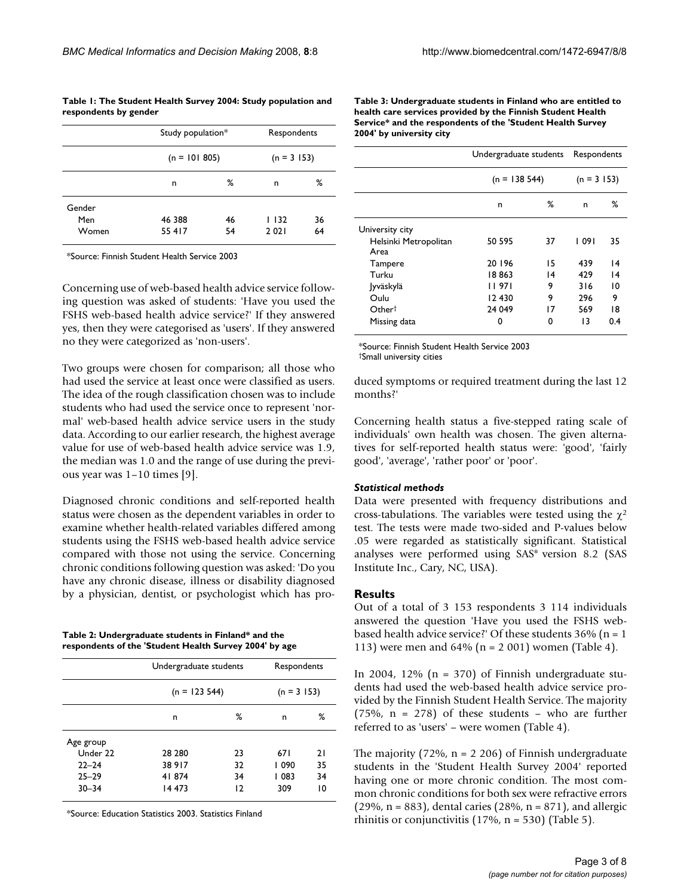**Table 1: The Student Health Survey 2004: Study population and respondents by gender**

|        | Study population* | Respondents |              |    |  |
|--------|-------------------|-------------|--------------|----|--|
|        | $(n = 101 805)$   |             | $(n = 3153)$ |    |  |
|        | n                 | %           | n            | %  |  |
| Gender |                   |             |              |    |  |
| Men    | 46 388            | 46          | 1132         | 36 |  |
| Women  | 55 417            | 54          |              | 64 |  |

\*Source: Finnish Student Health Service 2003

Concerning use of web-based health advice service following question was asked of students: 'Have you used the FSHS web-based health advice service?' If they answered yes, then they were categorised as 'users'. If they answered no they were categorized as 'non-users'.

Two groups were chosen for comparison; all those who had used the service at least once were classified as users. The idea of the rough classification chosen was to include students who had used the service once to represent 'normal' web-based health advice service users in the study data. According to our earlier research, the highest average value for use of web-based health advice service was 1.9, the median was 1.0 and the range of use during the previous year was 1–10 times [9].

Diagnosed chronic conditions and self-reported health status were chosen as the dependent variables in order to examine whether health-related variables differed among students using the FSHS web-based health advice service compared with those not using the service. Concerning chronic conditions following question was asked: 'Do you have any chronic disease, illness or disability diagnosed by a physician, dentist, or psychologist which has pro-

**Table 2: Undergraduate students in Finland\* and the respondents of the 'Student Health Survey 2004' by age**

|           |         | Undergraduate students |      |                |
|-----------|---------|------------------------|------|----------------|
|           |         | $(n = 123544)$         |      |                |
|           | n       | ℅                      | n    | ℅              |
| Age group |         |                        |      |                |
| Under 22  | 28 280  | 23                     | 67 I | 21             |
| $22 - 24$ | 38 917  | 32                     | 090  | 35             |
| $25 - 29$ | 41874   | 34                     | 1083 | 34             |
| $30 - 34$ | 14 4 73 | 12                     | 309  | $\overline{0}$ |

\*Source: Education Statistics 2003. Statistics Finland

| Table 3: Undergraduate students in Finland who are entitled to |
|----------------------------------------------------------------|
| health care services provided by the Finnish Student Health    |
| Service* and the respondents of the 'Student Health Survey     |
| 2004' by university city                                       |

|                       | Undergraduate students |              | Respondents |                 |  |
|-----------------------|------------------------|--------------|-------------|-----------------|--|
|                       | $(n = 138544)$         | $(n = 3153)$ |             |                 |  |
|                       | n                      | ℅            | n           | ℅               |  |
| University city       |                        |              |             |                 |  |
| Helsinki Metropolitan | 50 595                 | 37           | l 091       | 35              |  |
| Area                  |                        |              |             |                 |  |
| <b>Tampere</b>        | 20 196                 | 15           | 439         | $\overline{14}$ |  |
| Turku                 | 18 863                 | 14           | 429         | $\overline{14}$ |  |
| <b>Jyväskylä</b>      | II 971                 | 9            | 316         | 10              |  |
| Oulu                  | 12430                  | 9            | 296         | 9               |  |
| Othert                | 24 049                 | 17           | 569         | 18              |  |
| Missing data          | 0                      | 0            | 13          | 0.4             |  |

\*Source: Finnish Student Health Service 2003

†Small university cities

duced symptoms or required treatment during the last 12 months?'

Concerning health status a five-stepped rating scale of individuals' own health was chosen. The given alternatives for self-reported health status were: 'good', 'fairly good', 'average', 'rather poor' or 'poor'.

#### *Statistical methods*

Data were presented with frequency distributions and cross-tabulations. The variables were tested using the  $\gamma^2$ test. The tests were made two-sided and P-values below .05 were regarded as statistically significant. Statistical analyses were performed using SAS® version 8.2 (SAS Institute Inc., Cary, NC, USA).

#### **Results**

Out of a total of 3 153 respondents 3 114 individuals answered the question 'Have you used the FSHS webbased health advice service?' Of these students  $36\%$  (n = 1 113) were men and 64% (n = 2 001) women (Table 4).

In 2004, 12% ( $n = 370$ ) of Finnish undergraduate students had used the web-based health advice service provided by the Finnish Student Health Service. The majority (75%, n = 278) of these students – who are further referred to as 'users' – were women (Table 4).

The majority (72%,  $n = 2,206$ ) of Finnish undergraduate students in the 'Student Health Survey 2004' reported having one or more chronic condition. The most common chronic conditions for both sex were refractive errors (29%, n = 883), dental caries (28%, n = 871), and allergic rhinitis or conjunctivitis  $(17\%, n = 530)$  (Table 5).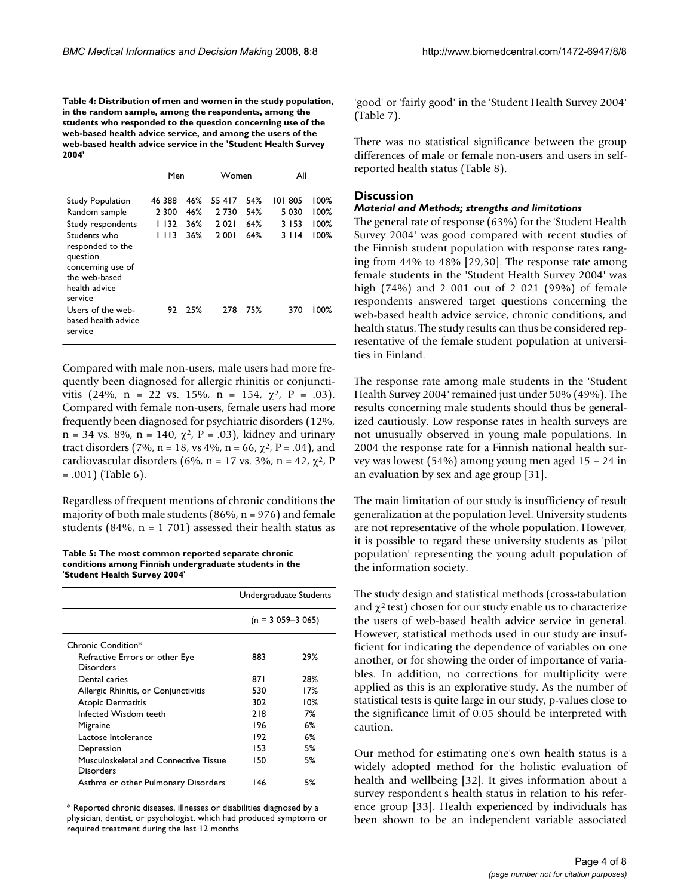|                                                                                                                | Men              |     | Women   |     | All     |      |
|----------------------------------------------------------------------------------------------------------------|------------------|-----|---------|-----|---------|------|
| <b>Study Population</b>                                                                                        | 46 388           | 46% | 55 417  | 54% | 101805  | 100% |
| Random sample                                                                                                  | 2 300            | 46% | 2730    | 54% | 5030    | 100% |
| Study respondents                                                                                              | 132              | 36% | 2021    | 64% | 3 1 5 3 | 100% |
| Students who<br>responded to the<br>question<br>concerning use of<br>the web-based<br>health advice<br>service | $\overline{113}$ | 36% | 2 0 0 1 | 64% | 3114    | 100% |
| Users of the web-<br>based health advice<br>service                                                            | 92               | 25% | 278     | 75% | 370     | 100% |

Compared with male non-users, male users had more frequently been diagnosed for allergic rhinitis or conjunctivitis  $(24\%, n = 22 \text{ vs. } 15\%, n = 154, \chi^2, P = .03)$ . Compared with female non-users, female users had more frequently been diagnosed for psychiatric disorders (12%, n = 34 vs. 8%, n = 140,  $\chi^2$ , P = .03), kidney and urinary tract disorders (7%, n = 18, vs 4%, n = 66,  $\chi^2$ , P = .04), and cardiovascular disorders (6%, n = 17 vs. 3%, n = 42,  $\chi^2$ , P = .001) (Table 6).

Regardless of frequent mentions of chronic conditions the majority of both male students (86%,  $n = 976$ ) and female students (84%,  $n = 1701$ ) assessed their health status as

**Table 5: The most common reported separate chronic conditions among Finnish undergraduate students in the 'Student Health Survey 2004'**

|                                                    | Undergraduate Students |     |  |  |
|----------------------------------------------------|------------------------|-----|--|--|
|                                                    | $(n = 3059 - 3065)$    |     |  |  |
| Chronic Condition*                                 |                        |     |  |  |
| Refractive Errors or other Eye<br>Disorders        | 883                    | 29% |  |  |
| Dental caries                                      | 871                    | 28% |  |  |
| Allergic Rhinitis, or Conjunctivitis               | 530                    | 17% |  |  |
| Atopic Dermatitis                                  | 302                    | 10% |  |  |
| Infected Wisdom teeth                              | 218                    | 7%  |  |  |
| Migraine                                           | 196                    | 6%  |  |  |
| Lactose Intolerance                                | 192                    | 6%  |  |  |
| Depression                                         | 153                    | 5%  |  |  |
| Musculoskeletal and Connective Tissue<br>Disorders | 150                    | 5%  |  |  |
| Asthma or other Pulmonary Disorders                | 146                    | 5%  |  |  |

\* Reported chronic diseases, illnesses or disabilities diagnosed by a physician, dentist, or psychologist, which had produced symptoms or required treatment during the last 12 months

'good' or 'fairly good' in the 'Student Health Survey 2004' (Table 7).

There was no statistical significance between the group differences of male or female non-users and users in selfreported health status (Table 8).

#### **Discussion**

#### *Material and Methods; strengths and limitations*

The general rate of response (63%) for the 'Student Health Survey 2004' was good compared with recent studies of the Finnish student population with response rates ranging from 44% to 48% [29,30]. The response rate among female students in the 'Student Health Survey 2004' was high (74%) and 2 001 out of 2 021 (99%) of female respondents answered target questions concerning the web-based health advice service, chronic conditions, and health status. The study results can thus be considered representative of the female student population at universities in Finland.

The response rate among male students in the 'Student Health Survey 2004' remained just under 50% (49%). The results concerning male students should thus be generalized cautiously. Low response rates in health surveys are not unusually observed in young male populations. In 2004 the response rate for a Finnish national health survey was lowest (54%) among young men aged 15 – 24 in an evaluation by sex and age group [31].

The main limitation of our study is insufficiency of result generalization at the population level. University students are not representative of the whole population. However, it is possible to regard these university students as 'pilot population' representing the young adult population of the information society.

The study design and statistical methods (cross-tabulation and  $\chi^2$  test) chosen for our study enable us to characterize the users of web-based health advice service in general. However, statistical methods used in our study are insufficient for indicating the dependence of variables on one another, or for showing the order of importance of variables. In addition, no corrections for multiplicity were applied as this is an explorative study. As the number of statistical tests is quite large in our study, p-values close to the significance limit of 0.05 should be interpreted with caution.

Our method for estimating one's own health status is a widely adopted method for the holistic evaluation of health and wellbeing [32]. It gives information about a survey respondent's health status in relation to his reference group [33]. Health experienced by individuals has been shown to be an independent variable associated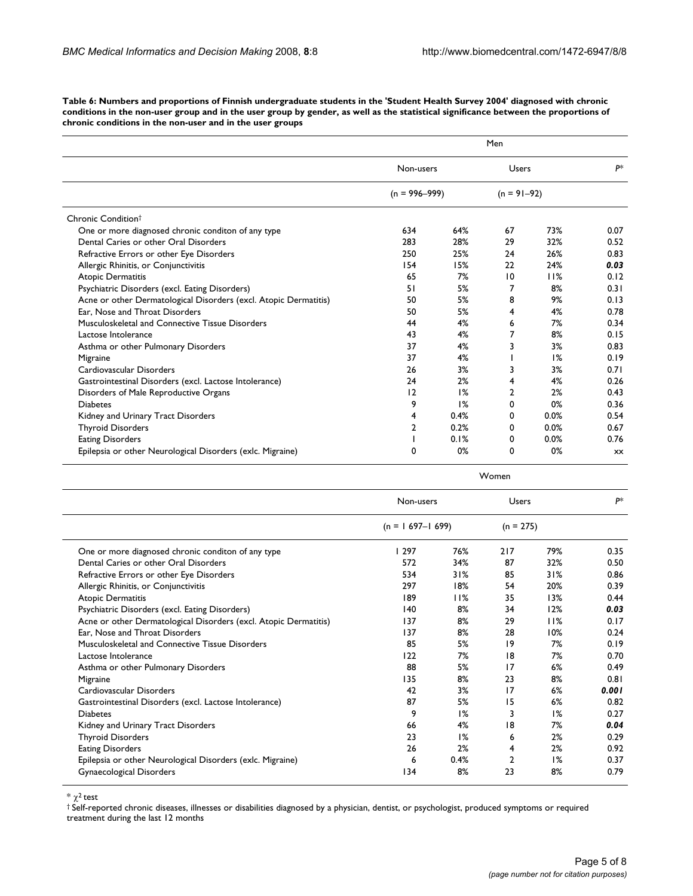Women

**Table 6: Numbers and proportions of Finnish undergraduate students in the 'Student Health Survey 2004' diagnosed with chronic conditions in the non-user group and in the user group by gender, as well as the statistical significance between the proportions of chronic conditions in the non-user and in the user groups**

|                                                                  |                   |      | Men           |      |           |
|------------------------------------------------------------------|-------------------|------|---------------|------|-----------|
|                                                                  | Non-users         |      | <b>Users</b>  |      | p*        |
|                                                                  | $(n = 996 - 999)$ |      | $(n = 91-92)$ |      |           |
| Chronic Condition <sup>†</sup>                                   |                   |      |               |      |           |
| One or more diagnosed chronic conditon of any type               | 634               | 64%  | 67            | 73%  | 0.07      |
| Dental Caries or other Oral Disorders                            | 283               | 28%  | 29            | 32%  | 0.52      |
| Refractive Errors or other Eye Disorders                         | 250               | 25%  | 24            | 26%  | 0.83      |
| Allergic Rhinitis, or Conjunctivitis                             | 154               | 15%  | 22            | 24%  | 0.03      |
| Atopic Dermatitis                                                | 65                | 7%   | 10            | 11%  | 0.12      |
| Psychiatric Disorders (excl. Eating Disorders)                   | 51                | 5%   | 7             | 8%   | 0.31      |
| Acne or other Dermatological Disorders (excl. Atopic Dermatitis) | 50                | 5%   | 8             | 9%   | 0.13      |
| Ear, Nose and Throat Disorders                                   | 50                | 5%   | 4             | 4%   | 0.78      |
| Musculoskeletal and Connective Tissue Disorders                  | 44                | 4%   | 6             | 7%   | 0.34      |
| Lactose Intolerance                                              | 43                | 4%   | 7             | 8%   | 0.15      |
| Asthma or other Pulmonary Disorders                              | 37                | 4%   | 3             | 3%   | 0.83      |
| Migraine                                                         | 37                | 4%   |               | 1%   | 0.19      |
| Cardiovascular Disorders                                         | 26                | 3%   | 3             | 3%   | 0.71      |
| Gastrointestinal Disorders (excl. Lactose Intolerance)           | 24                | 2%   | 4             | 4%   | 0.26      |
| Disorders of Male Reproductive Organs                            | 12                | 1%   | 2             | 2%   | 0.43      |
| <b>Diabetes</b>                                                  | 9                 | 1%   | 0             | 0%   | 0.36      |
| Kidney and Urinary Tract Disorders                               | 4                 | 0.4% | 0             | 0.0% | 0.54      |
| <b>Thyroid Disorders</b>                                         | $\overline{2}$    | 0.2% | 0             | 0.0% | 0.67      |
| <b>Eating Disorders</b>                                          |                   | 0.1% | 0             | 0.0% | 0.76      |
| Epilepsia or other Neurological Disorders (exlc. Migraine)       | 0                 | 0%   | 0             | 0%   | <b>XX</b> |

|                                                                  | Non-users           |      | <b>Users</b> |     | <b>p</b> * |
|------------------------------------------------------------------|---------------------|------|--------------|-----|------------|
|                                                                  | $(n = 1697 - 1699)$ |      | $(n = 275)$  |     |            |
| One or more diagnosed chronic conditon of any type               | 297                 | 76%  | 217          | 79% | 0.35       |
| Dental Caries or other Oral Disorders                            | 572                 | 34%  | 87           | 32% | 0.50       |
| Refractive Errors or other Eye Disorders                         | 534                 | 31%  | 85           | 31% | 0.86       |
| Allergic Rhinitis, or Conjunctivitis                             | 297                 | 18%  | 54           | 20% | 0.39       |
| Atopic Dermatitis                                                | 189                 | 11%  | 35           | 13% | 0.44       |
| Psychiatric Disorders (excl. Eating Disorders)                   | 40                  | 8%   | 34           | 12% | 0.03       |
| Acne or other Dermatological Disorders (excl. Atopic Dermatitis) | 137                 | 8%   | 29           | 11% | 0.17       |
| Ear, Nose and Throat Disorders                                   | 137                 | 8%   | 28           | 10% | 0.24       |
| Musculoskeletal and Connective Tissue Disorders                  | 85                  | 5%   | 19           | 7%  | 0.19       |
| Lactose Intolerance                                              | 122                 | 7%   | 18           | 7%  | 0.70       |
| Asthma or other Pulmonary Disorders                              | 88                  | 5%   | 17           | 6%  | 0.49       |
| Migraine                                                         | 135                 | 8%   | 23           | 8%  | 0.81       |
| Cardiovascular Disorders                                         | 42                  | 3%   | 17           | 6%  | 0.001      |
| Gastrointestinal Disorders (excl. Lactose Intolerance)           | 87                  | 5%   | 15           | 6%  | 0.82       |
| <b>Diabetes</b>                                                  | 9                   | 1%   | 3            | 1%  | 0.27       |
| Kidney and Urinary Tract Disorders                               | 66                  | 4%   | 18           | 7%  | 0.04       |
| <b>Thyroid Disorders</b>                                         | 23                  | 1%   | 6            | 2%  | 0.29       |
| <b>Eating Disorders</b>                                          | 26                  | 2%   | 4            | 2%  | 0.92       |
| Epilepsia or other Neurological Disorders (exlc. Migraine)       | 6                   | 0.4% | 2            | 1%  | 0.37       |
| Gynaecological Disorders                                         | 134                 | 8%   | 23           | 8%  | 0.79       |
|                                                                  |                     |      |              |     |            |

 ${}^*\chi^2$  test

† Self-reported chronic diseases, illnesses or disabilities diagnosed by a physician, dentist, or psychologist, produced symptoms or required treatment during the last 12 months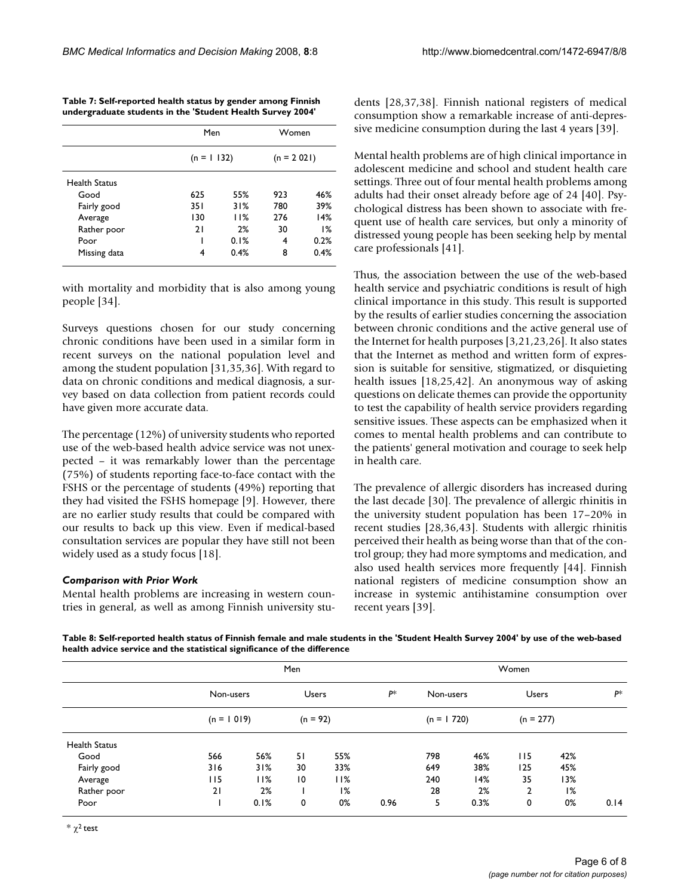| Table 7: Self-reported health status by gender among Finnish |  |
|--------------------------------------------------------------|--|
| undergraduate students in the 'Student Health Survey 2004'   |  |

|                      | Men          | Women |               |      |
|----------------------|--------------|-------|---------------|------|
|                      | $(n = 1132)$ |       | $(n = 2 021)$ |      |
| <b>Health Status</b> |              |       |               |      |
| Good                 | 625          | 55%   | 923           | 46%  |
| Fairly good          | 351          | 31%   | 780           | 39%  |
| Average              | 130          | 11%   | 276           | 14%  |
| Rather poor          | 21           | 2%    | 30            | 1%   |
| Poor                 |              | 0.1%  | 4             | 0.2% |
| Missing data         | 4            | 0.4%  | 8             | 0.4% |

with mortality and morbidity that is also among young people [34].

Surveys questions chosen for our study concerning chronic conditions have been used in a similar form in recent surveys on the national population level and among the student population [31,35,36]. With regard to data on chronic conditions and medical diagnosis, a survey based on data collection from patient records could have given more accurate data.

The percentage (12%) of university students who reported use of the web-based health advice service was not unexpected – it was remarkably lower than the percentage (75%) of students reporting face-to-face contact with the FSHS or the percentage of students (49%) reporting that they had visited the FSHS homepage [9]. However, there are no earlier study results that could be compared with our results to back up this view. Even if medical-based consultation services are popular they have still not been widely used as a study focus [18].

#### *Comparison with Prior Work*

Mental health problems are increasing in western countries in general, as well as among Finnish university students [28,37,38]. Finnish national registers of medical consumption show a remarkable increase of anti-depressive medicine consumption during the last 4 years [39].

Mental health problems are of high clinical importance in adolescent medicine and school and student health care settings. Three out of four mental health problems among adults had their onset already before age of 24 [40]. Psychological distress has been shown to associate with frequent use of health care services, but only a minority of distressed young people has been seeking help by mental care professionals [41].

Thus, the association between the use of the web-based health service and psychiatric conditions is result of high clinical importance in this study. This result is supported by the results of earlier studies concerning the association between chronic conditions and the active general use of the Internet for health purposes [3,21,23,26]. It also states that the Internet as method and written form of expression is suitable for sensitive, stigmatized, or disquieting health issues [18,25,42]. An anonymous way of asking questions on delicate themes can provide the opportunity to test the capability of health service providers regarding sensitive issues. These aspects can be emphasized when it comes to mental health problems and can contribute to the patients' general motivation and courage to seek help in health care.

The prevalence of allergic disorders has increased during the last decade [30]. The prevalence of allergic rhinitis in the university student population has been 17–20% in recent studies [28,36,43]. Students with allergic rhinitis perceived their health as being worse than that of the control group; they had more symptoms and medication, and also used health services more frequently [44]. Finnish national registers of medicine consumption show an increase in systemic antihistamine consumption over recent years [39].

**Table 8: Self-reported health status of Finnish female and male students in the 'Student Health Survey 2004' by use of the web-based health advice service and the statistical significance of the difference**

|                      | Men          |           |            |                                                    |      |              |      | Women        |     |      |       |
|----------------------|--------------|-----------|------------|----------------------------------------------------|------|--------------|------|--------------|-----|------|-------|
|                      |              | Non-users |            | $P^*$<br><b>Users</b><br><b>Users</b><br>Non-users |      |              |      |              |     |      | $P^*$ |
|                      | $(n = 1019)$ |           | $(n = 92)$ |                                                    |      | $(n = 1720)$ |      | $(n = 277)$  |     |      |       |
| <b>Health Status</b> |              |           |            |                                                    |      |              |      |              |     |      |       |
| Good                 | 566          | 56%       | 51         | 55%                                                |      | 798          | 46%  | 115          | 42% |      |       |
| Fairly good          | 316          | 31%       | 30         | 33%                                                |      | 649          | 38%  | 125          | 45% |      |       |
| Average              | 115          | 11%       | 10         | 11%                                                |      | 240          | 14%  | 35           | 13% |      |       |
| Rather poor          | 21           | 2%        |            | 1%                                                 |      | 28           | 2%   | $\mathbf{2}$ | 1%  |      |       |
| Poor                 |              | 0.1%      | 0          | 0%                                                 | 0.96 | 5            | 0.3% | 0            | 0%  | 0.14 |       |

 $*$   $\chi^2$  test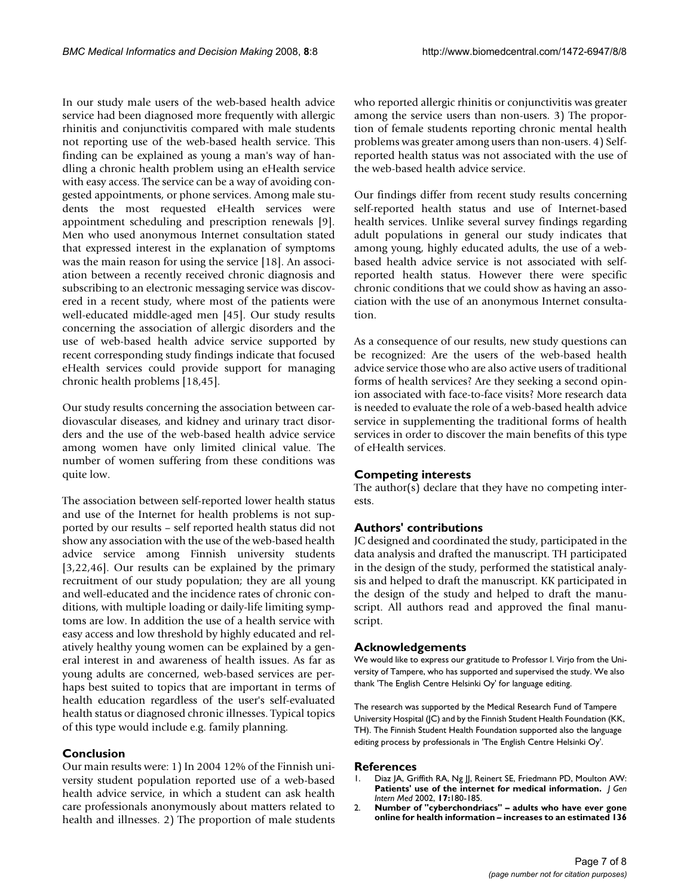In our study male users of the web-based health advice service had been diagnosed more frequently with allergic rhinitis and conjunctivitis compared with male students not reporting use of the web-based health service. This finding can be explained as young a man's way of handling a chronic health problem using an eHealth service with easy access. The service can be a way of avoiding congested appointments, or phone services. Among male students the most requested eHealth services were appointment scheduling and prescription renewals [9]. Men who used anonymous Internet consultation stated that expressed interest in the explanation of symptoms was the main reason for using the service [18]. An association between a recently received chronic diagnosis and subscribing to an electronic messaging service was discovered in a recent study, where most of the patients were well-educated middle-aged men [45]. Our study results concerning the association of allergic disorders and the use of web-based health advice service supported by recent corresponding study findings indicate that focused eHealth services could provide support for managing chronic health problems [18,45].

Our study results concerning the association between cardiovascular diseases, and kidney and urinary tract disorders and the use of the web-based health advice service among women have only limited clinical value. The number of women suffering from these conditions was quite low.

The association between self-reported lower health status and use of the Internet for health problems is not supported by our results – self reported health status did not show any association with the use of the web-based health advice service among Finnish university students [3,22,46]. Our results can be explained by the primary recruitment of our study population; they are all young and well-educated and the incidence rates of chronic conditions, with multiple loading or daily-life limiting symptoms are low. In addition the use of a health service with easy access and low threshold by highly educated and relatively healthy young women can be explained by a general interest in and awareness of health issues. As far as young adults are concerned, web-based services are perhaps best suited to topics that are important in terms of health education regardless of the user's self-evaluated health status or diagnosed chronic illnesses. Typical topics of this type would include e.g. family planning.

### **Conclusion**

Our main results were: 1) In 2004 12% of the Finnish university student population reported use of a web-based health advice service, in which a student can ask health care professionals anonymously about matters related to health and illnesses. 2) The proportion of male students who reported allergic rhinitis or conjunctivitis was greater among the service users than non-users. 3) The proportion of female students reporting chronic mental health problems was greater among users than non-users. 4) Selfreported health status was not associated with the use of the web-based health advice service.

Our findings differ from recent study results concerning self-reported health status and use of Internet-based health services. Unlike several survey findings regarding adult populations in general our study indicates that among young, highly educated adults, the use of a webbased health advice service is not associated with selfreported health status. However there were specific chronic conditions that we could show as having an association with the use of an anonymous Internet consultation.

As a consequence of our results, new study questions can be recognized: Are the users of the web-based health advice service those who are also active users of traditional forms of health services? Are they seeking a second opinion associated with face-to-face visits? More research data is needed to evaluate the role of a web-based health advice service in supplementing the traditional forms of health services in order to discover the main benefits of this type of eHealth services.

### **Competing interests**

The author(s) declare that they have no competing interests.

### **Authors' contributions**

JC designed and coordinated the study, participated in the data analysis and drafted the manuscript. TH participated in the design of the study, performed the statistical analysis and helped to draft the manuscript. KK participated in the design of the study and helped to draft the manuscript. All authors read and approved the final manuscript.

#### **Acknowledgements**

We would like to express our gratitude to Professor I. Virjo from the University of Tampere, who has supported and supervised the study. We also thank 'The English Centre Helsinki Oy' for language editing.

The research was supported by the Medical Research Fund of Tampere University Hospital (JC) and by the Finnish Student Health Foundation (KK, TH). The Finnish Student Health Foundation supported also the language editing process by professionals in 'The English Centre Helsinki Oy'.

#### **References**

- 1. Diaz JA, Griffith RA, Ng JJ, Reinert SE, Friedmann PD, Moulton AW: **[Patients' use of the internet for medical information.](http://www.ncbi.nlm.nih.gov/entrez/query.fcgi?cmd=Retrieve&db=PubMed&dopt=Abstract&list_uids=11929503)** *J Gen Intern Med* 2002, **17:**180-185.
- 2. **Number of "cyberchondriacs" adults who have ever gone online for health information – increases to an estimated 136**